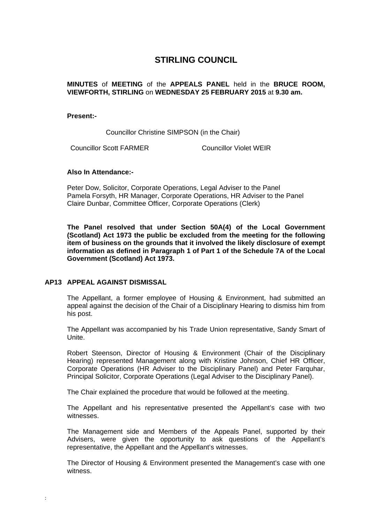# **STIRLING COUNCIL**

# **MINUTES** of **MEETING** of the **APPEALS PANEL** held in the **BRUCE ROOM, VIEWFORTH, STIRLING** on **WEDNESDAY 25 FEBRUARY 2015** at **9.30 am.**

## **Present:-**

Councillor Christine SIMPSON (in the Chair)

Councillor Scott FARMER Councillor Violet WEIR

#### **Also In Attendance:-**

Peter Dow, Solicitor, Corporate Operations, Legal Adviser to the Panel Pamela Forsyth, HR Manager, Corporate Operations, HR Adviser to the Panel Claire Dunbar, Committee Officer, Corporate Operations (Clerk)

**The Panel resolved that under Section 50A(4) of the Local Government (Scotland) Act 1973 the public be excluded from the meeting for the following item of business on the grounds that it involved the likely disclosure of exempt information as defined in Paragraph 1 of Part 1 of the Schedule 7A of the Local Government (Scotland) Act 1973.** 

# **[AP13 APPEAL AGAINST DISMISSAL](http://minutes.stirling.gov.uk/forms/request.htm)**

:

The Appellant, a former employee of Housing & Environment, had submitted an appeal against the decision of the Chair of a Disciplinary Hearing to dismiss him from his post.

The Appellant was accompanied by his Trade Union representative, Sandy Smart of Unite.

Robert Steenson, Director of Housing & Environment (Chair of the Disciplinary Hearing) represented Management along with Kristine Johnson, Chief HR Officer, Corporate Operations (HR Adviser to the Disciplinary Panel) and Peter Farquhar, Principal Solicitor, Corporate Operations (Legal Adviser to the Disciplinary Panel).

The Chair explained the procedure that would be followed at the meeting.

The Appellant and his representative presented the Appellant's case with two witnesses.

The Management side and Members of the Appeals Panel, supported by their Advisers, were given the opportunity to ask questions of the Appellant's representative, the Appellant and the Appellant's witnesses.

The Director of Housing & Environment presented the Management's case with one witness.